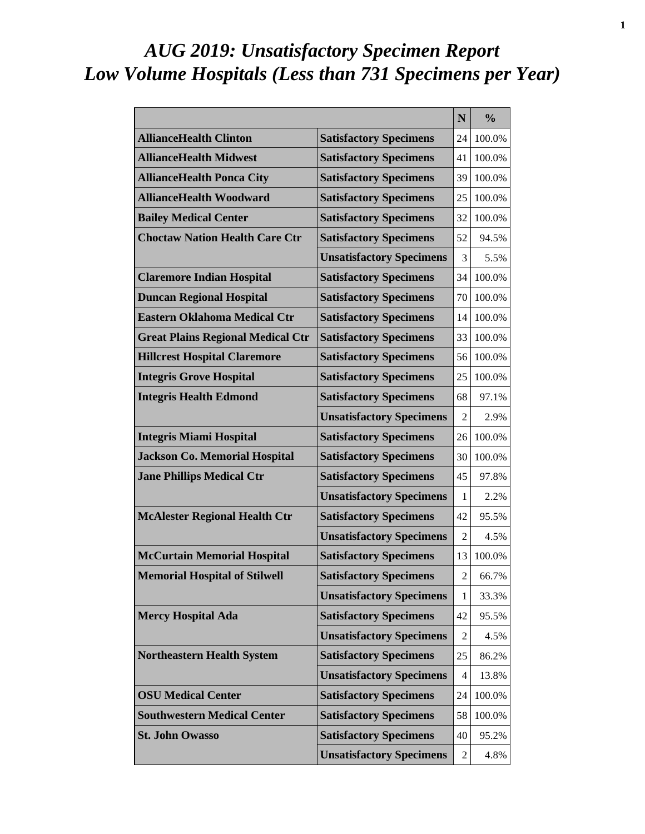# *AUG 2019: Unsatisfactory Specimen Report Low Volume Hospitals (Less than 731 Specimens per Year)*

|                                          |                                 | N              | $\frac{0}{0}$ |
|------------------------------------------|---------------------------------|----------------|---------------|
| <b>AllianceHealth Clinton</b>            | <b>Satisfactory Specimens</b>   | 24             | 100.0%        |
| <b>AllianceHealth Midwest</b>            | <b>Satisfactory Specimens</b>   | 41             | 100.0%        |
| <b>AllianceHealth Ponca City</b>         | <b>Satisfactory Specimens</b>   | 39             | 100.0%        |
| <b>AllianceHealth Woodward</b>           | <b>Satisfactory Specimens</b>   | 25             | 100.0%        |
| <b>Bailey Medical Center</b>             | <b>Satisfactory Specimens</b>   | 32             | 100.0%        |
| <b>Choctaw Nation Health Care Ctr</b>    | <b>Satisfactory Specimens</b>   | 52             | 94.5%         |
|                                          | <b>Unsatisfactory Specimens</b> | 3              | 5.5%          |
| <b>Claremore Indian Hospital</b>         | <b>Satisfactory Specimens</b>   | 34             | 100.0%        |
| <b>Duncan Regional Hospital</b>          | <b>Satisfactory Specimens</b>   | 70             | 100.0%        |
| <b>Eastern Oklahoma Medical Ctr</b>      | <b>Satisfactory Specimens</b>   | 14             | 100.0%        |
| <b>Great Plains Regional Medical Ctr</b> | <b>Satisfactory Specimens</b>   | 33             | 100.0%        |
| <b>Hillcrest Hospital Claremore</b>      | <b>Satisfactory Specimens</b>   | 56             | 100.0%        |
| <b>Integris Grove Hospital</b>           | <b>Satisfactory Specimens</b>   | 25             | 100.0%        |
| <b>Integris Health Edmond</b>            | <b>Satisfactory Specimens</b>   | 68             | 97.1%         |
|                                          | <b>Unsatisfactory Specimens</b> | 2              | 2.9%          |
| <b>Integris Miami Hospital</b>           | <b>Satisfactory Specimens</b>   | 26             | 100.0%        |
| <b>Jackson Co. Memorial Hospital</b>     | <b>Satisfactory Specimens</b>   | 30             | 100.0%        |
| <b>Jane Phillips Medical Ctr</b>         | <b>Satisfactory Specimens</b>   | 45             | 97.8%         |
|                                          | <b>Unsatisfactory Specimens</b> | 1              | 2.2%          |
| <b>McAlester Regional Health Ctr</b>     | <b>Satisfactory Specimens</b>   | 42             | 95.5%         |
|                                          | <b>Unsatisfactory Specimens</b> | 2              | 4.5%          |
| <b>McCurtain Memorial Hospital</b>       | <b>Satisfactory Specimens</b>   | 13             | 100.0%        |
| <b>Memorial Hospital of Stilwell</b>     | <b>Satisfactory Specimens</b>   | $\overline{c}$ | 66.7%         |
|                                          | <b>Unsatisfactory Specimens</b> | 1              | 33.3%         |
| <b>Mercy Hospital Ada</b>                | <b>Satisfactory Specimens</b>   | 42             | 95.5%         |
|                                          | <b>Unsatisfactory Specimens</b> | 2              | 4.5%          |
| <b>Northeastern Health System</b>        | <b>Satisfactory Specimens</b>   | 25             | 86.2%         |
|                                          | <b>Unsatisfactory Specimens</b> | 4              | 13.8%         |
| <b>OSU Medical Center</b>                | <b>Satisfactory Specimens</b>   | 24             | 100.0%        |
| <b>Southwestern Medical Center</b>       | <b>Satisfactory Specimens</b>   | 58             | 100.0%        |
| <b>St. John Owasso</b>                   | <b>Satisfactory Specimens</b>   | 40             | 95.2%         |
|                                          | <b>Unsatisfactory Specimens</b> | 2              | 4.8%          |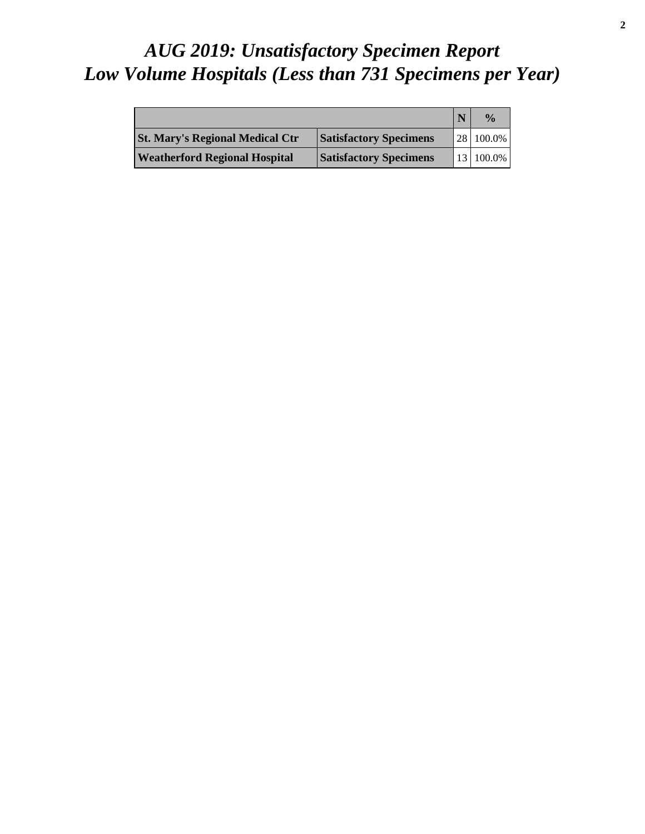# *AUG 2019: Unsatisfactory Specimen Report Low Volume Hospitals (Less than 731 Specimens per Year)*

|                                        |                               | $\frac{0}{\alpha}$ |
|----------------------------------------|-------------------------------|--------------------|
| <b>St. Mary's Regional Medical Ctr</b> | <b>Satisfactory Specimens</b> | 28 100.0%          |
| <b>Weatherford Regional Hospital</b>   | <b>Satisfactory Specimens</b> | 13 100.0%          |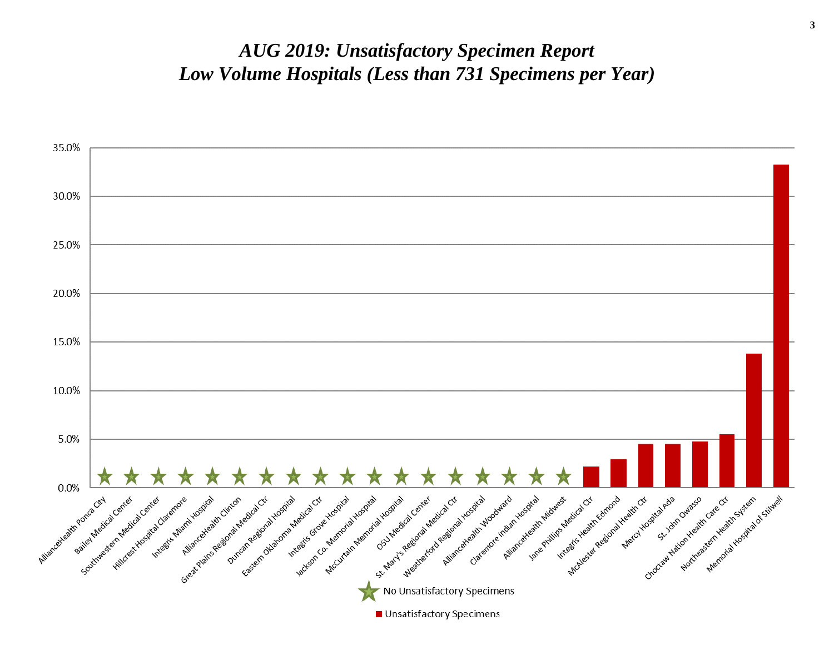#### *AUG 2019: Unsatisfactory Specimen Report Low Volume Hospitals (Less than 731 Specimens per Year)*

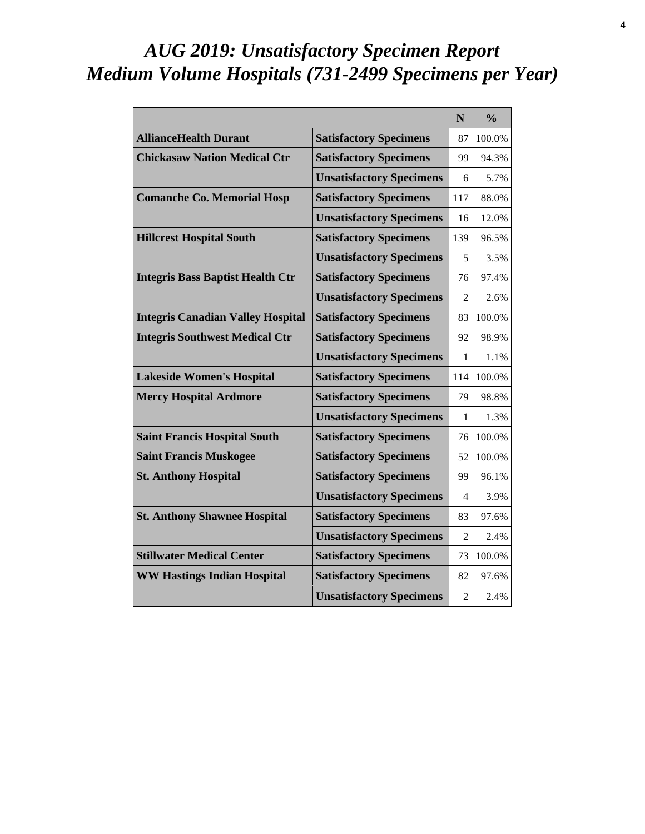# *AUG 2019: Unsatisfactory Specimen Report Medium Volume Hospitals (731-2499 Specimens per Year)*

|                                          |                                 | N              | $\frac{0}{0}$ |
|------------------------------------------|---------------------------------|----------------|---------------|
| <b>AllianceHealth Durant</b>             | <b>Satisfactory Specimens</b>   | 87             | 100.0%        |
| <b>Chickasaw Nation Medical Ctr</b>      | <b>Satisfactory Specimens</b>   | 99             | 94.3%         |
|                                          | <b>Unsatisfactory Specimens</b> | 6              | 5.7%          |
| <b>Comanche Co. Memorial Hosp</b>        | <b>Satisfactory Specimens</b>   | 117            | 88.0%         |
|                                          | <b>Unsatisfactory Specimens</b> | 16             | 12.0%         |
| <b>Hillcrest Hospital South</b>          | <b>Satisfactory Specimens</b>   | 139            | 96.5%         |
|                                          | <b>Unsatisfactory Specimens</b> | 5              | 3.5%          |
| <b>Integris Bass Baptist Health Ctr</b>  | <b>Satisfactory Specimens</b>   | 76             | 97.4%         |
|                                          | <b>Unsatisfactory Specimens</b> | $\mathfrak{D}$ | 2.6%          |
| <b>Integris Canadian Valley Hospital</b> | <b>Satisfactory Specimens</b>   | 83             | 100.0%        |
| <b>Integris Southwest Medical Ctr</b>    | <b>Satisfactory Specimens</b>   | 92             | 98.9%         |
|                                          | <b>Unsatisfactory Specimens</b> | 1              | 1.1%          |
| <b>Lakeside Women's Hospital</b>         | <b>Satisfactory Specimens</b>   | 114            | 100.0%        |
| <b>Mercy Hospital Ardmore</b>            | <b>Satisfactory Specimens</b>   | 79             | 98.8%         |
|                                          | <b>Unsatisfactory Specimens</b> | 1              | 1.3%          |
| <b>Saint Francis Hospital South</b>      | <b>Satisfactory Specimens</b>   | 76             | 100.0%        |
| <b>Saint Francis Muskogee</b>            | <b>Satisfactory Specimens</b>   | 52             | 100.0%        |
| <b>St. Anthony Hospital</b>              | <b>Satisfactory Specimens</b>   | 99             | 96.1%         |
|                                          | <b>Unsatisfactory Specimens</b> | 4              | 3.9%          |
| <b>St. Anthony Shawnee Hospital</b>      | <b>Satisfactory Specimens</b>   | 83             | 97.6%         |
|                                          | <b>Unsatisfactory Specimens</b> | $\mathfrak{D}$ | 2.4%          |
| <b>Stillwater Medical Center</b>         | <b>Satisfactory Specimens</b>   | 73             | 100.0%        |
| <b>WW Hastings Indian Hospital</b>       | <b>Satisfactory Specimens</b>   | 82             | 97.6%         |
|                                          | <b>Unsatisfactory Specimens</b> | $\overline{2}$ | 2.4%          |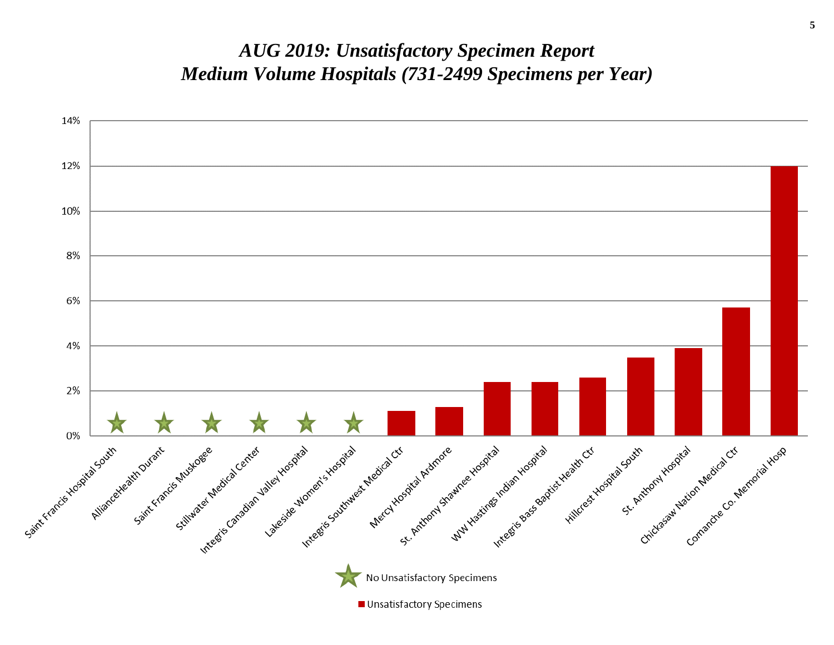#### *AUG 2019: Unsatisfactory Specimen Report Medium Volume Hospitals (731-2499 Specimens per Year)*

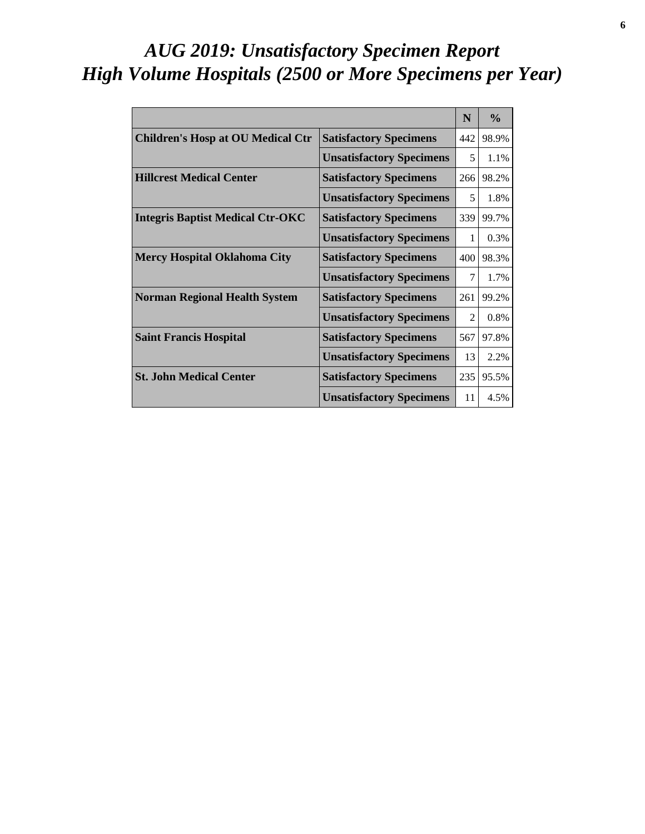# *AUG 2019: Unsatisfactory Specimen Report High Volume Hospitals (2500 or More Specimens per Year)*

|                                          |                                 | N   | $\frac{0}{0}$ |
|------------------------------------------|---------------------------------|-----|---------------|
| <b>Children's Hosp at OU Medical Ctr</b> | <b>Satisfactory Specimens</b>   | 442 | 98.9%         |
|                                          | <b>Unsatisfactory Specimens</b> | 5   | 1.1%          |
| <b>Hillcrest Medical Center</b>          | <b>Satisfactory Specimens</b>   | 266 | 98.2%         |
|                                          | <b>Unsatisfactory Specimens</b> | 5   | 1.8%          |
| <b>Integris Baptist Medical Ctr-OKC</b>  | <b>Satisfactory Specimens</b>   | 339 | 99.7%         |
|                                          | <b>Unsatisfactory Specimens</b> | 1   | 0.3%          |
| <b>Mercy Hospital Oklahoma City</b>      | <b>Satisfactory Specimens</b>   | 400 | 98.3%         |
|                                          | <b>Unsatisfactory Specimens</b> | 7   | 1.7%          |
| <b>Norman Regional Health System</b>     | <b>Satisfactory Specimens</b>   | 261 | 99.2%         |
|                                          | <b>Unsatisfactory Specimens</b> | 2   | 0.8%          |
| <b>Saint Francis Hospital</b>            | <b>Satisfactory Specimens</b>   | 567 | 97.8%         |
|                                          | <b>Unsatisfactory Specimens</b> | 13  | 2.2%          |
| <b>St. John Medical Center</b>           | <b>Satisfactory Specimens</b>   | 235 | 95.5%         |
|                                          | <b>Unsatisfactory Specimens</b> | 11  | 4.5%          |